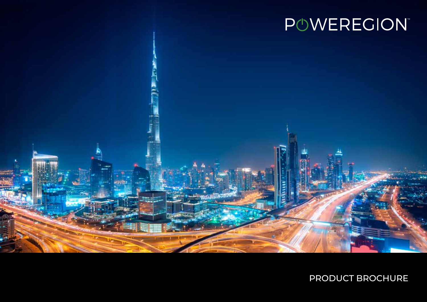

## PRODUCT BROCHURE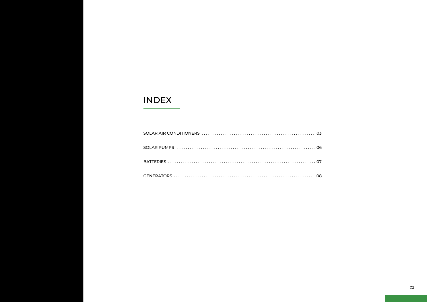## **INDEX**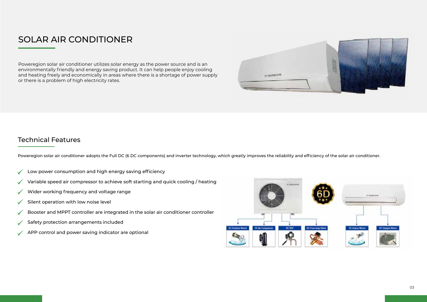## SOLAR AIR CONDITIONER

Poweregion solar air conditioner utilizes solar energy as the power source and is an environmentally friendly and energy saving product. It can help people enjoy cooling and heating freely and economically in areas where there is a shortage of power supply or there is a problem of high electricity rates.



#### Technical Features

Poweregion solar air conditioner adopts the Full DC (6 DC components) and inverter technology, which greatly improves the reliability and efficiency of the solar air conditioner.

- Low power consumption and high energy saving efficiency
- Variable speed air compressor to achieve soft starting and quick cooling / heating
- Wider working frequency and voltage range
- Silent operation with low noise level ✓
- Booster and MPPT controller are integrated in the solar air conditioner controller
- Safety protection arrangements included
- APP control and power saving indicator are optional

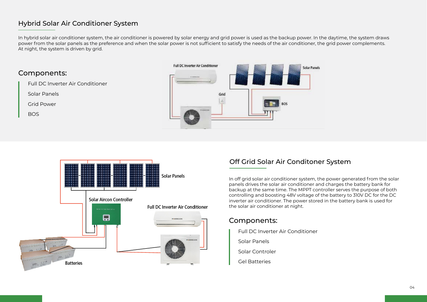#### Hybrid Solar Air Conditioner System

In hybrid solar air conditioner system, the air conditioner is powered by solar energy and grid power is used as the backup power. In the daytime, the system draws power from the solar panels as the preference and when the solar power is not sufficient to satisfy the needs of the air conditioner, the grid power complements. At night, the system is driven by grid.

#### Components:

Full DC Inverter Air Conditioner

Solar Panels

Grid Power

BOS





#### Off Grid Solar Air Conditoner System

In off grid solar air conditioner system, the power generated from the solar panels drives the solar air conditioner and charges the battery bank for backup at the same time. The MPPT controller serves the purpose of both controlling and boosting 48V voltage of the battery to 310V DC for the DC inverter air conditioner. The power stored in the battery bank is used for the solar air conditioner at night.

#### Components:

Full DC Inverter Air Conditioner

Solar Panels

- Solar Controler
- Gel Batteries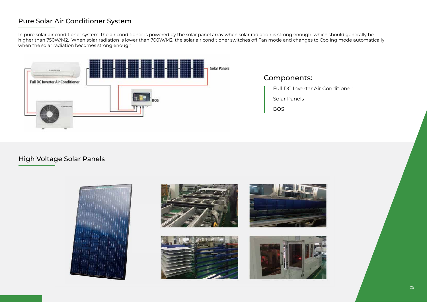#### Pure Solar Air Conditioner System

In pure solar air conditioner system, the air conditioner is powered by the solar panel array when solar radiation is strong enough, which should generally be higher than 750W/M2. When solar radiation is lower than 700W/M2, the solar air conditioner switches off Fan mode and changes to Cooling mode automatically when the solar radiation becomes strong enough.



#### High Voltage Solar Panels







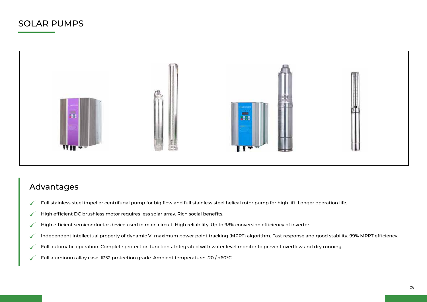## Solar pumps



### Advantages

- Full stainless steel impeller centrifugal pump for big flow and full stainless steel helical rotor pump for high lift. Longer operation life.  $\checkmark$
- High efficient DC brushless motor requires less solar array. Rich social benefits.  $\checkmark$
- High efficient semiconductor device used in main circuit. High reliability. Up to 98% conversion efficiency of inverter.  $\checkmark$
- Independent intellectual property of dynamic VI maximum power point tracking (MPPT) algorithm. Fast response and good stability. 99% MPPT efficiency.  $\checkmark$
- Full automatic operation. Complete protection functions. Integrated with water level monitor to prevent overflow and dry running.  $\checkmark$
- Full aluminum alloy case. IP52 protection grade. Ambient temperature: -20 / +60°C.  $\checkmark$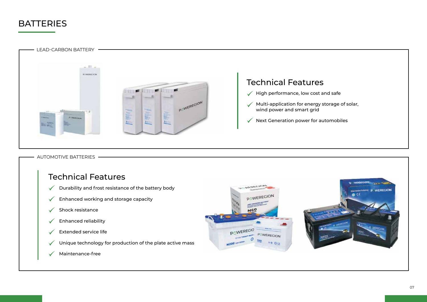## **BATTERIES**



automotive batteries

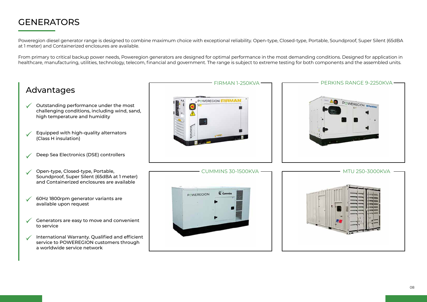## **GENERATORS**

Poweregion diesel generator range is designed to combine maximum choice with exceptional reliability. Open-type, Closed-type, Portable, Soundproof, Super Silent (65dBA at 1 meter) and Containerized enclosures are available.

From primary to critical backup power needs, Poweregion generators are designed for optimal performance in the most demanding conditions. Designed for application in healthcare, manufacturing, utilities, technology, telecom, financial and government. The range is subject to extreme testing for both components and the assembled units.

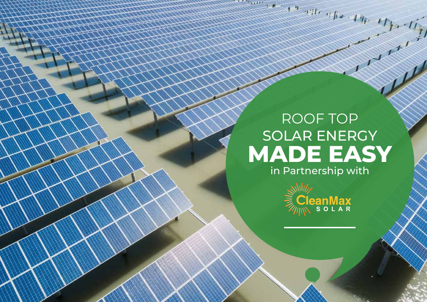# roof top solar energy **MADE EASY**

alle the the copy of the copy of





09

 $\frac{1}{2}$